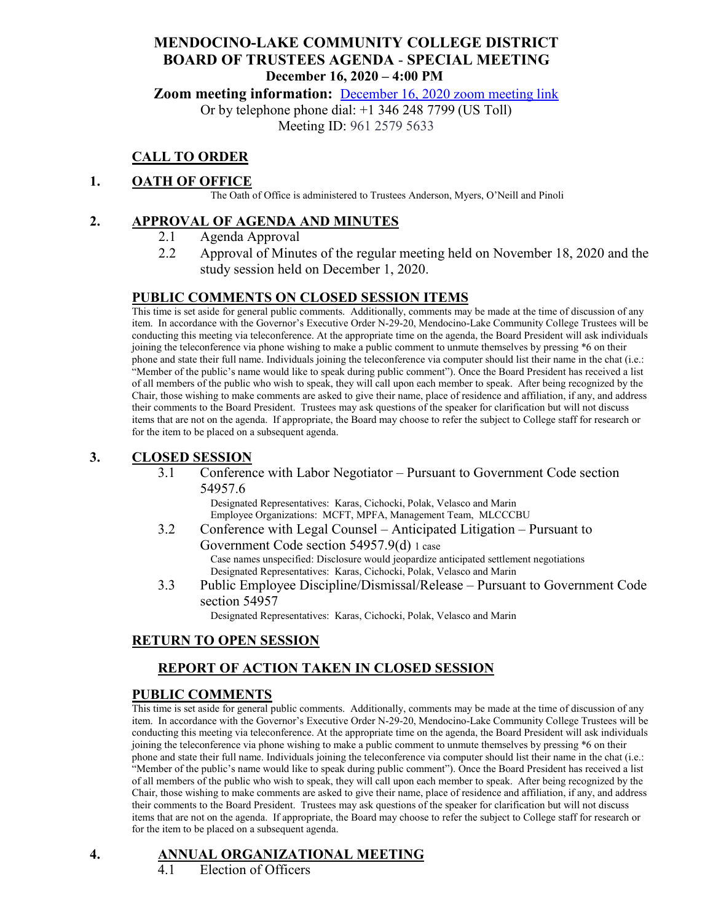## **MENDOCINO-LAKE COMMUNITY COLLEGE DISTRICT BOARD OF TRUSTEES AGENDA** - **SPECIAL MEETING December 16, 2020 – 4:00 PM**

**Zoom meeting information:** [December 16, 2020 zoom meeting link](https://cccconfer.zoom.us/s/96125795633)

Or by telephone phone dial: +1 346 248 7799 (US Toll)

Meeting ID: 961 2579 5633

# **CALL TO ORDER**

#### **1. OATH OF OFFICE**

The Oath of Office is administered to Trustees Anderson, Myers, O'Neill and Pinoli

#### **2. APPROVAL OF AGENDA AND MINUTES**

- 2.1 Agenda Approval
- 2.2 Approval of Minutes of the regular meeting held on November 18, 2020 and the study session held on December 1, 2020.

#### **PUBLIC COMMENTS ON CLOSED SESSION ITEMS**

This time is set aside for general public comments. Additionally, comments may be made at the time of discussion of any item. In accordance with the Governor's Executive Order N-29-20, Mendocino-Lake Community College Trustees will be conducting this meeting via teleconference. At the appropriate time on the agenda, the Board President will ask individuals joining the teleconference via phone wishing to make a public comment to unmute themselves by pressing \*6 on their phone and state their full name. Individuals joining the teleconference via computer should list their name in the chat (i.e.: "Member of the public's name would like to speak during public comment"). Once the Board President has received a list of all members of the public who wish to speak, they will call upon each member to speak. After being recognized by the Chair, those wishing to make comments are asked to give their name, place of residence and affiliation, if any, and address their comments to the Board President. Trustees may ask questions of the speaker for clarification but will not discuss items that are not on the agenda. If appropriate, the Board may choose to refer the subject to College staff for research or for the item to be placed on a subsequent agenda.

#### **3. CLOSED SESSION**

3.1 Conference with Labor Negotiator – Pursuant to Government Code section 54957.6

> Designated Representatives: Karas, Cichocki, Polak, Velasco and Marin Employee Organizations: MCFT, MPFA, Management Team, MLCCCBU

3.2 Conference with Legal Counsel – Anticipated Litigation – Pursuant to

Government Code section 54957.9(d) 1 case Case names unspecified: Disclosure would jeopardize anticipated settlement negotiations Designated Representatives: Karas, Cichocki, Polak, Velasco and Marin

3.3 Public Employee Discipline/Dismissal/Release – Pursuant to Government Code section 54957

Designated Representatives: Karas, Cichocki, Polak, Velasco and Marin

## **RETURN TO OPEN SESSION**

## **REPORT OF ACTION TAKEN IN CLOSED SESSION**

#### **PUBLIC COMMENTS**

This time is set aside for general public comments. Additionally, comments may be made at the time of discussion of any item. In accordance with the Governor's Executive Order N-29-20, Mendocino-Lake Community College Trustees will be conducting this meeting via teleconference. At the appropriate time on the agenda, the Board President will ask individuals joining the teleconference via phone wishing to make a public comment to unmute themselves by pressing \*6 on their phone and state their full name. Individuals joining the teleconference via computer should list their name in the chat (i.e.: "Member of the public's name would like to speak during public comment"). Once the Board President has received a list of all members of the public who wish to speak, they will call upon each member to speak. After being recognized by the Chair, those wishing to make comments are asked to give their name, place of residence and affiliation, if any, and address their comments to the Board President. Trustees may ask questions of the speaker for clarification but will not discuss items that are not on the agenda. If appropriate, the Board may choose to refer the subject to College staff for research or for the item to be placed on a subsequent agenda.

# **4. ANNUAL ORGANIZATIONAL MEETING**

4.1 Election of Officers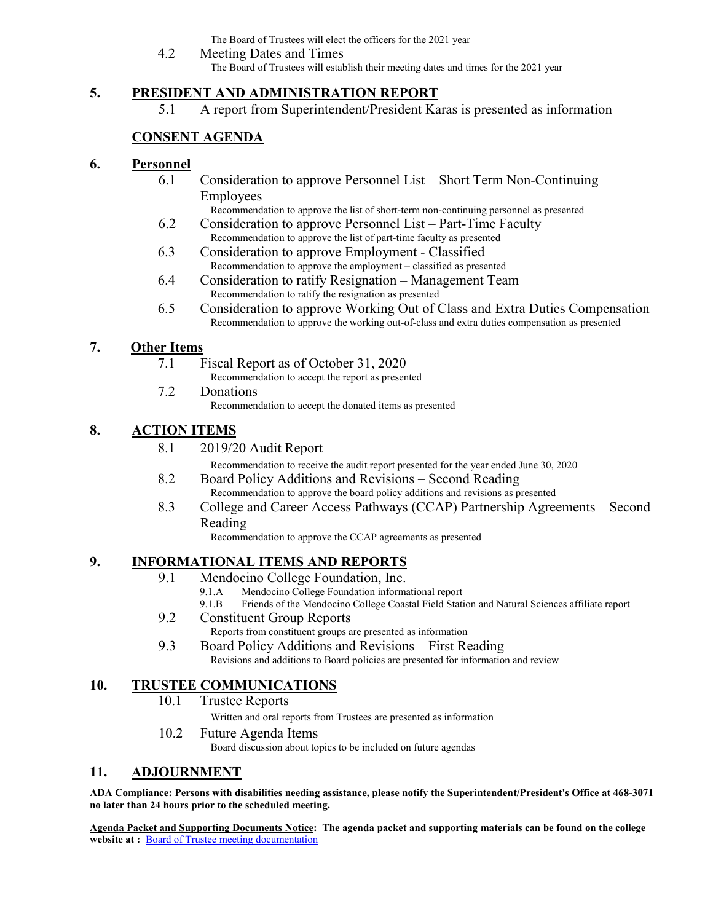The Board of Trustees will elect the officers for the 2021 year

4.2 Meeting Dates and Times The Board of Trustees will establish their meeting dates and times for the 2021 year

## **5. PRESIDENT AND ADMINISTRATION REPORT**

5.1 A report from Superintendent/President Karas is presented as information

# **CONSENT AGENDA**

## **6. Personnel**

- 6.1 Consideration to approve Personnel List Short Term Non-Continuing Employees
	- Recommendation to approve the list of short-term non-continuing personnel as presented
- 6.2 Consideration to approve Personnel List Part-Time Faculty Recommendation to approve the list of part-time faculty as presented
- 6.3 Consideration to approve Employment Classified Recommendation to approve the employment – classified as presented
- 6.4 Consideration to ratify Resignation Management Team Recommendation to ratify the resignation as presented
- 6.5 Consideration to approve Working Out of Class and Extra Duties Compensation Recommendation to approve the working out-of-class and extra duties compensation as presented

## **7. Other Items**

- 7.1 Fiscal Report as of October 31, 2020
	- Recommendation to accept the report as presented
- 7.2 Donations Recommendation to accept the donated items as presented

# **8. ACTION ITEMS**

8.1 2019/20 Audit Report

Recommendation to receive the audit report presented for the year ended June 30, 2020

- 8.2 Board Policy Additions and Revisions Second Reading Recommendation to approve the board policy additions and revisions as presented
- 8.3 College and Career Access Pathways (CCAP) Partnership Agreements Second Reading

Recommendation to approve the CCAP agreements as presented

# **9. INFORMATIONAL ITEMS AND REPORTS**

- 9.1 Mendocino College Foundation, Inc.
	- 9.1.A Mendocino College Foundation informational report
	- 9.1.B Friends of the Mendocino College Coastal Field Station and Natural Sciences affiliate report
- 9.2 Constituent Group Reports
	- Reports from constituent groups are presented as information
- 9.3 Board Policy Additions and Revisions First Reading Revisions and additions to Board policies are presented for information and review

# **10. TRUSTEE COMMUNICATIONS**

10.1 Trustee Reports

Written and oral reports from Trustees are presented as information

10.2 Future Agenda Items

Board discussion about topics to be included on future agendas

# **11. ADJOURNMENT**

**ADA Compliance: Persons with disabilities needing assistance, please notify the Superintendent/President's Office at 468-3071 no later than 24 hours prior to the scheduled meeting.** 

**Agenda Packet and Supporting Documents Notice: The agenda packet and supporting materials can be found on the college**  website at : **[Board of Trustee meeting documentation](https://www.mendocino.edu/botagendas)**